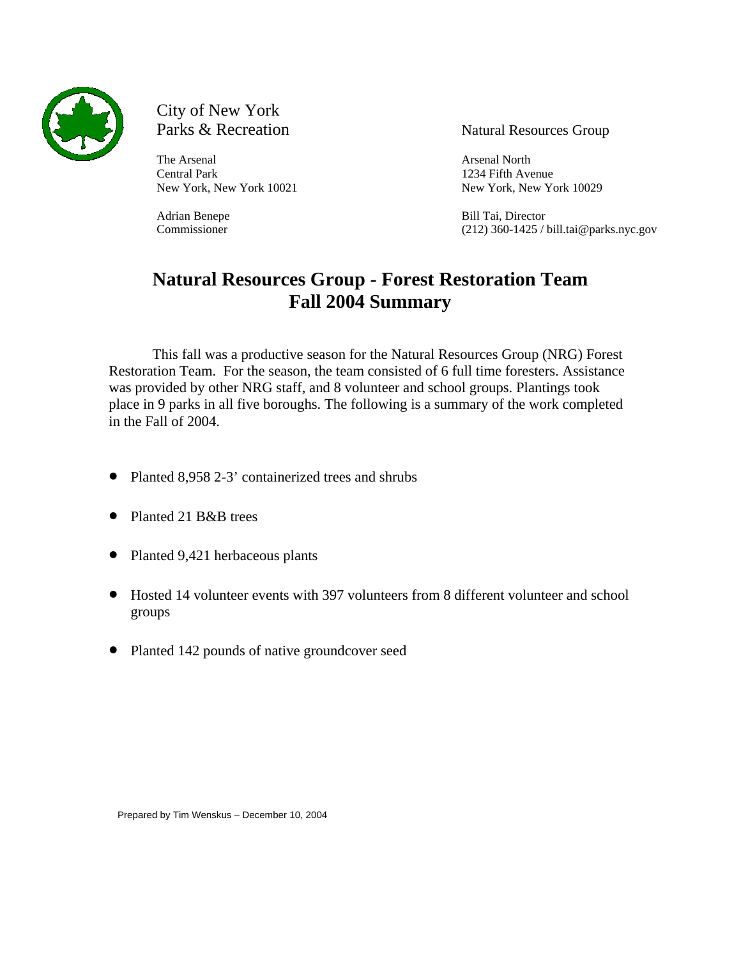

# City of New York Parks & Recreation Natural Resources Group

The Arsenal North **Arsenal** North **Arsenal** North **Arsenal** North **Arsenal** North **Arsenal** North **Arsenal** North **Arsenal** North **Arsenal** North **Arsenal** North **Arsenal** North **Arsenal** North **Arsenal** North **Arsenal** No Central Park 1234 Fifth Avenue

New York, New York 10021 New York, New York 10029

Adrian Benepe Bill Tai, Director Commissioner (212) 360-1425 / bill.tai@parks.nyc.gov

# **Natural Resources Group - Forest Restoration Team Fall 2004 Summary**

This fall was a productive season for the Natural Resources Group (NRG) Forest Restoration Team. For the season, the team consisted of 6 full time foresters. Assistance was provided by other NRG staff, and 8 volunteer and school groups. Plantings took place in 9 parks in all five boroughs. The following is a summary of the work completed in the Fall of 2004.

- Planted 8,958 2-3' containerized trees and shrubs
- Planted 21 B&B trees
- Planted 9,421 herbaceous plants
- Hosted 14 volunteer events with 397 volunteers from 8 different volunteer and school groups
- Planted 142 pounds of native groundcover seed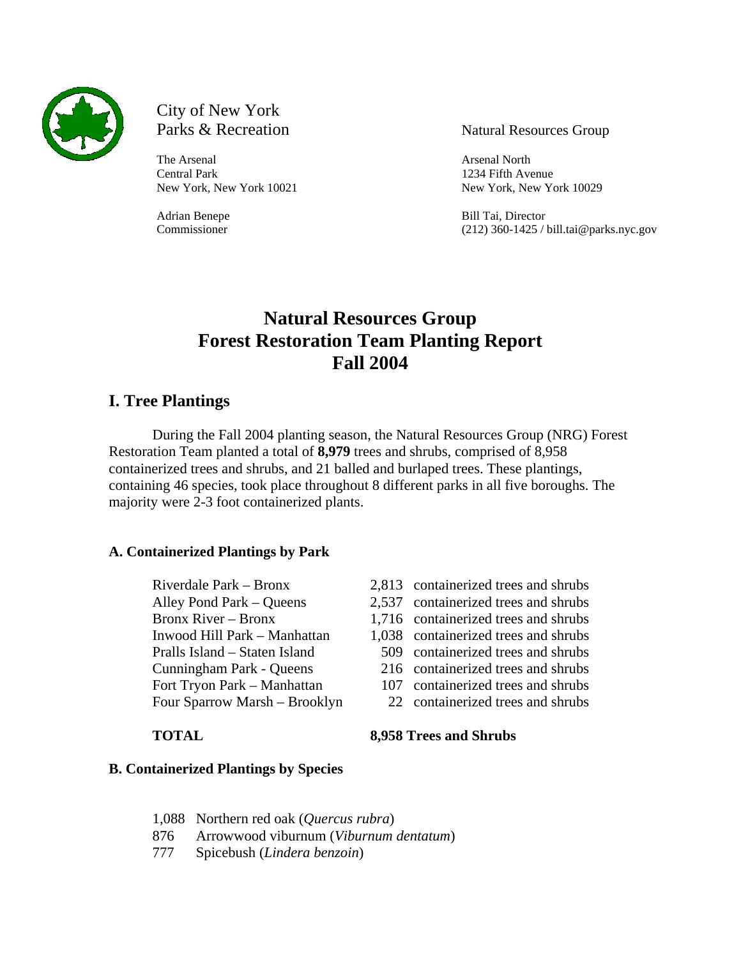

# City of New York

The Arsenal North **Arsenal** North Central Park 1234 Fifth Avenue

Parks & Recreation Natural Resources Group

New York, New York 10021 New York, New York 10029

Adrian Benepe Bill Tai, Director Commissioner (212) 360-1425 / bill.tai@parks.nyc.gov

# **Natural Resources Group Forest Restoration Team Planting Report Fall 2004**

# **I. Tree Plantings**

During the Fall 2004 planting season, the Natural Resources Group (NRG) Forest Restoration Team planted a total of **8,979** trees and shrubs, comprised of 8,958 containerized trees and shrubs, and 21 balled and burlaped trees. These plantings, containing 46 species, took place throughout 8 different parks in all five boroughs. The majority were 2-3 foot containerized plants.

# **A. Containerized Plantings by Park**

Cunningham Park - Queens 216 containerized trees and shrubs Fort Tryon Park – Manhattan 107 containerized trees and shrubs

- Riverdale Park Bronx 2,813 containerized trees and shrubs
- Alley Pond Park Queens 2,537 containerized trees and shrubs
- Bronx River Bronx 1,716 containerized trees and shrubs
- Inwood Hill Park Manhattan 1,038 containerized trees and shrubs
- Pralls Island Staten Island 509 containerized trees and shrubs
	-
	-
- Four Sparrow Marsh Brooklyn 22 containerized trees and shrubs

**TOTAL 8,958 Trees and Shrubs**

### **B. Containerized Plantings by Species**

- 1,088 Northern red oak (*Quercus rubra*)
- 876 Arrowwood viburnum (*Viburnum dentatum*)
- 777 Spicebush (*Lindera benzoin*)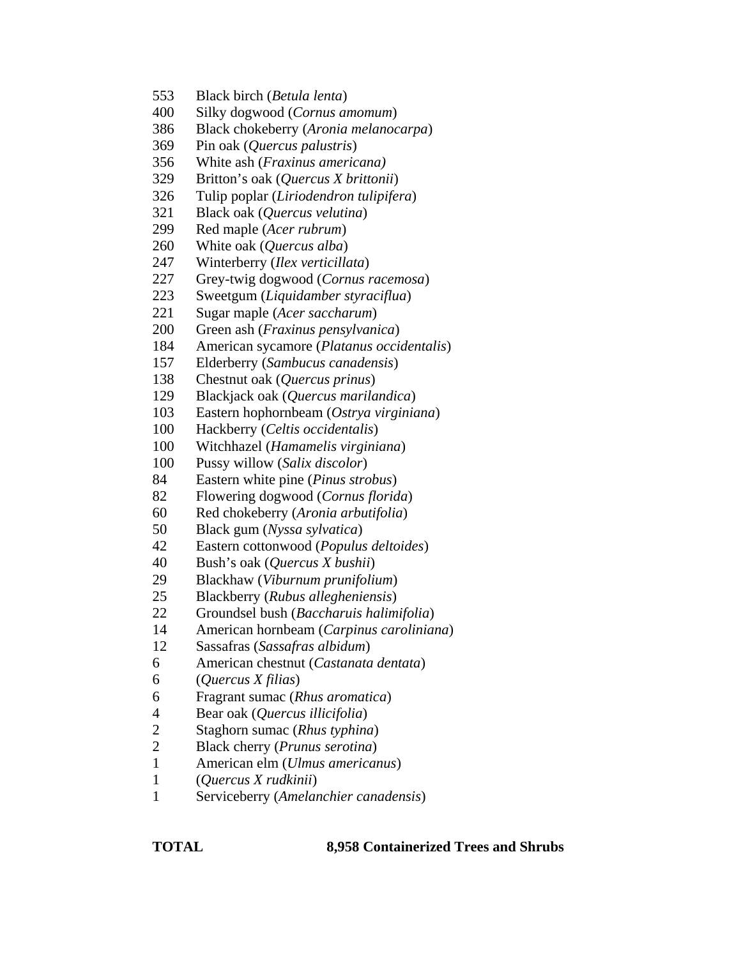- 553 Black birch (*Betula lenta*)
- 400 Silky dogwood (*Cornus amomum*)
- 386 Black chokeberry (*Aronia melanocarpa*)
- 369 Pin oak (*Quercus palustris*)
- 356 White ash (*Fraxinus americana)*
- 329 Britton's oak (*Quercus X brittonii*)
- 326 Tulip poplar (*Liriodendron tulipifera*)
- 321 Black oak (*Quercus velutina*)
- 299 Red maple (*Acer rubrum*)
- 260 White oak (*Quercus alba*)
- 247 Winterberry (*Ilex verticillata*)
- 227 Grey-twig dogwood (*Cornus racemosa*)
- 223 Sweetgum (*Liquidamber styraciflua*)
- 221 Sugar maple (*Acer saccharum*)
- 200 Green ash (*Fraxinus pensylvanica*)
- 184 American sycamore (*Platanus occidentalis*)
- 157 Elderberry (*Sambucus canadensis*)
- 138 Chestnut oak (*Quercus prinus*)
- 129 Blackjack oak (*Quercus marilandica*)
- 103 Eastern hophornbeam (*Ostrya virginiana*)
- 100 Hackberry (*Celtis occidentalis*)
- 100 Witchhazel (*Hamamelis virginiana*)
- 100 Pussy willow (*Salix discolor*)
- 84 Eastern white pine (*Pinus strobus*)
- 82 Flowering dogwood (*Cornus florida*)
- 60 Red chokeberry (*Aronia arbutifolia*)
- 50 Black gum (*Nyssa sylvatica*)
- 42 Eastern cottonwood (*Populus deltoides*)
- 40 Bush's oak (*Quercus X bushii*)
- 29 Blackhaw (*Viburnum prunifolium*)
- 25 Blackberry (*Rubus allegheniensis*)
- 22 Groundsel bush (*Baccharuis halimifolia*)
- 14 American hornbeam (*Carpinus caroliniana*)
- 12 Sassafras (*Sassafras albidum*)
- 6 American chestnut (*Castanata dentata*)
- 6 (*Quercus X filias*)
- 6 Fragrant sumac (*Rhus aromatica*)
- 4 Bear oak (*Quercus illicifolia*)
- 2 Staghorn sumac (*Rhus typhina*)
- 2 Black cherry (*Prunus serotina*)
- 1 American elm (*Ulmus americanus*)
- 1 (*Quercus X rudkinii*)
- 1 Serviceberry (*Amelanchier canadensis*)

**TOTAL 8,958 Containerized Trees and Shrubs**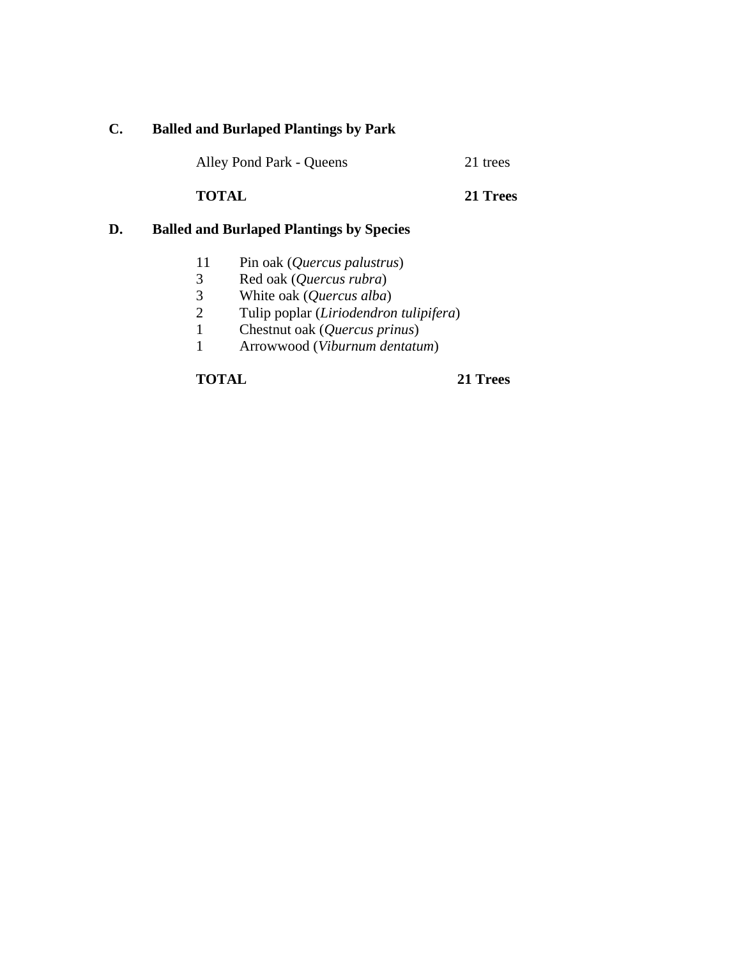# **C. Balled and Burlaped Plantings by Park**

| Alley Pond Park - Queens | 21 trees |
|--------------------------|----------|
|--------------------------|----------|

**TOTAL 21 Trees**

# **D. Balled and Burlaped Plantings by Species**

- 11 Pin oak (*Quercus palustrus*)
- 3 Red oak (*Quercus rubra*)
- 3 White oak (*Quercus alba*)
- 2 Tulip poplar (*Liriodendron tulipifera*)
- 1 Chestnut oak (*Quercus prinus*)
- 1 Arrowwood (*Viburnum dentatum*)

**TOTAL 21 Trees**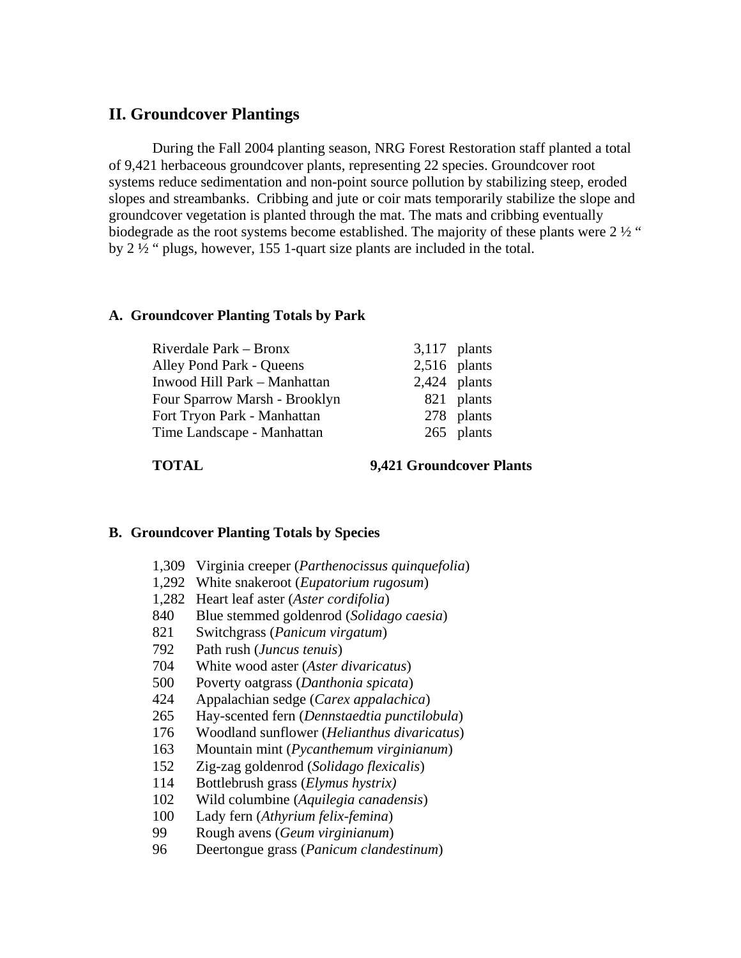# **II. Groundcover Plantings**

During the Fall 2004 planting season, NRG Forest Restoration staff planted a total of 9,421 herbaceous groundcover plants, representing 22 species. Groundcover root systems reduce sedimentation and non-point source pollution by stabilizing steep, eroded slopes and streambanks. Cribbing and jute or coir mats temporarily stabilize the slope and groundcover vegetation is planted through the mat. The mats and cribbing eventually biodegrade as the root systems become established. The majority of these plants were 2  $\frac{1}{2}$  " by 2 ½ " plugs, however, 155 1-quart size plants are included in the total.

# **A. Groundcover Planting Totals by Park**

| Riverdale Park - Bronx        | $3,117$ plants |            |
|-------------------------------|----------------|------------|
| Alley Pond Park - Queens      | $2,516$ plants |            |
| Inwood Hill Park - Manhattan  | $2,424$ plants |            |
| Four Sparrow Marsh - Brooklyn |                | 821 plants |
| Fort Tryon Park - Manhattan   |                | 278 plants |
| Time Landscape - Manhattan    |                | 265 plants |
|                               |                |            |

**TOTAL 9,421 Groundcover Plants**

### **B. Groundcover Planting Totals by Species**

- 1,309 Virginia creeper (*Parthenocissus quinquefolia*)
- 1,292 White snakeroot (*Eupatorium rugosum*)
- 1,282 Heart leaf aster (*Aster cordifolia*)
- 840 Blue stemmed goldenrod (*Solidago caesia*)
- 821 Switchgrass (*Panicum virgatum*)
- 792 Path rush (*Juncus tenuis*)
- 704 White wood aster (*Aster divaricatus*)
- 500 Poverty oatgrass (*Danthonia spicata*)
- 424 Appalachian sedge (*Carex appalachica*)
- 265 Hay-scented fern (*Dennstaedtia punctilobula*)
- 176 Woodland sunflower (*Helianthus divaricatus*)
- 163 Mountain mint (*Pycanthemum virginianum*)
- 152 Zig-zag goldenrod (*Solidago flexicalis*)
- 114 Bottlebrush grass (*Elymus hystrix)*
- 102 Wild columbine (*Aquilegia canadensis*)
- 100 Lady fern (*Athyrium felix-femina*)
- 99 Rough avens (*Geum virginianum*)
- 96 Deertongue grass (*Panicum clandestinum*)